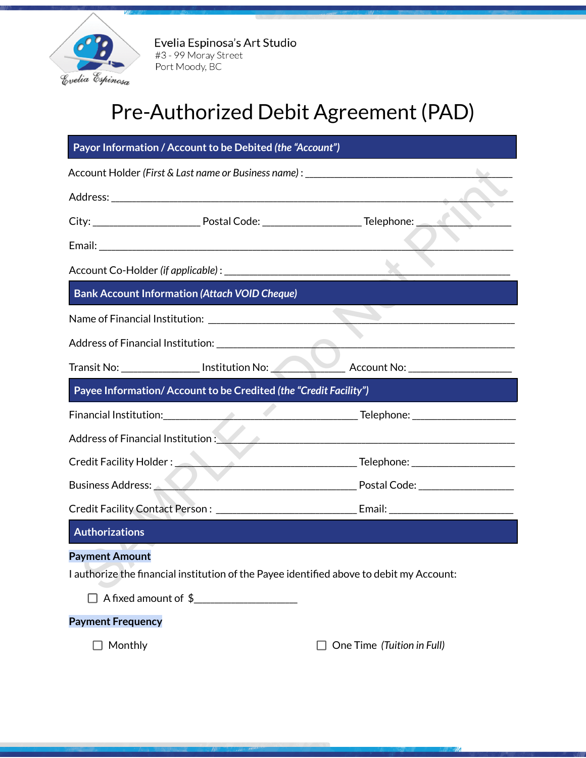

Evelia Espinosa's Art Studio #3 - 99 Moray Street Port Moody, BC

## Pre-Authorized Debit Agreement (PAD)

| Account Holder (First & Last name or Business name) : ___________________________                                 |  |
|-------------------------------------------------------------------------------------------------------------------|--|
|                                                                                                                   |  |
|                                                                                                                   |  |
|                                                                                                                   |  |
|                                                                                                                   |  |
| <b>Bank Account Information (Attach VOID Cheque)</b>                                                              |  |
|                                                                                                                   |  |
|                                                                                                                   |  |
| Transit No: __________________ Institution No: __________________________________                                 |  |
| Payee Information/Account to be Credited (the "Credit Facility")                                                  |  |
|                                                                                                                   |  |
| Address of Financial Institution : Andreas Address of Financial Institution :                                     |  |
|                                                                                                                   |  |
| Business Address: New York New York Postal Code: New York Postal Code:                                            |  |
|                                                                                                                   |  |
| <b>Authorizations</b>                                                                                             |  |
| <b>Payment Amount</b><br>I authorize the financial institution of the Payee identified above to debit my Account: |  |
| $\Box$ A fixed amount of $\frac{1}{2}$                                                                            |  |
| <b>Payment Frequency</b>                                                                                          |  |

Monthly One Time *(Tuition in Full)*